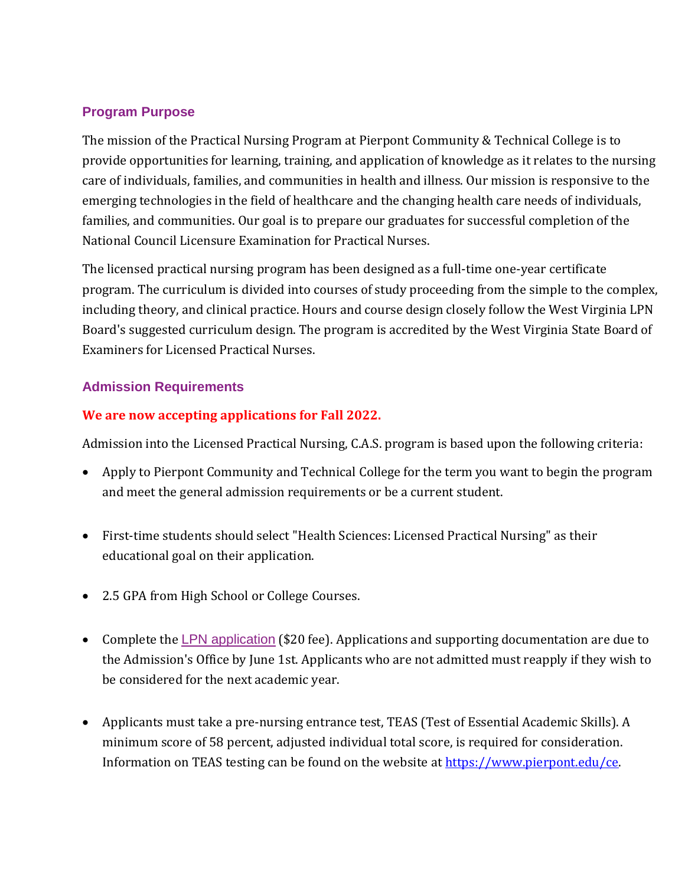# **Program Purpose**

The mission of the Practical Nursing Program at Pierpont Community & Technical College is to provide opportunities for learning, training, and application of knowledge as it relates to the nursing care of individuals, families, and communities in health and illness. Our mission is responsive to the emerging technologies in the field of healthcare and the changing health care needs of individuals, families, and communities. Our goal is to prepare our graduates for successful completion of the National Council Licensure Examination for Practical Nurses.

The licensed practical nursing program has been designed as a full-time one-year certificate program. The curriculum is divided into courses of study proceeding from the simple to the complex, including theory, and clinical practice. Hours and course design closely follow the West Virginia LPN Board's suggested curriculum design. The program is accredited by the West Virginia State Board of Examiners for Licensed Practical Nurses.

## **Admission Requirements**

## **We are now accepting applications for Fall 2022.**

Admission into the Licensed Practical Nursing, C.A.S. program is based upon the following criteria:

- Apply to Pierpont Community and Technical College for the term you want to begin the program and meet the general admission requirements or be a current student.
- First-time students should select "Health Sciences: Licensed Practical Nursing" as their educational goal on their application.
- 2.5 GPA from High School or College Courses.
- Complete the LPN [application](https://www.pierpont.edu/competitiveprograms#overlay-context=search/node/competitive%2520/%2520selective) (\$20 fee). Applications and supporting documentation are due to the Admission's Office by June 1st. Applicants who are not admitted must reapply if they wish to be considered for the next academic year.
- Applicants must take a pre-nursing entrance test, TEAS (Test of Essential Academic Skills). A minimum score of 58 percent, adjusted individual total score, is required for consideration. Information on TEAS testing can be found on the website at [https://www.pierpont.edu/ce.](https://www.pierpont.edu/ce)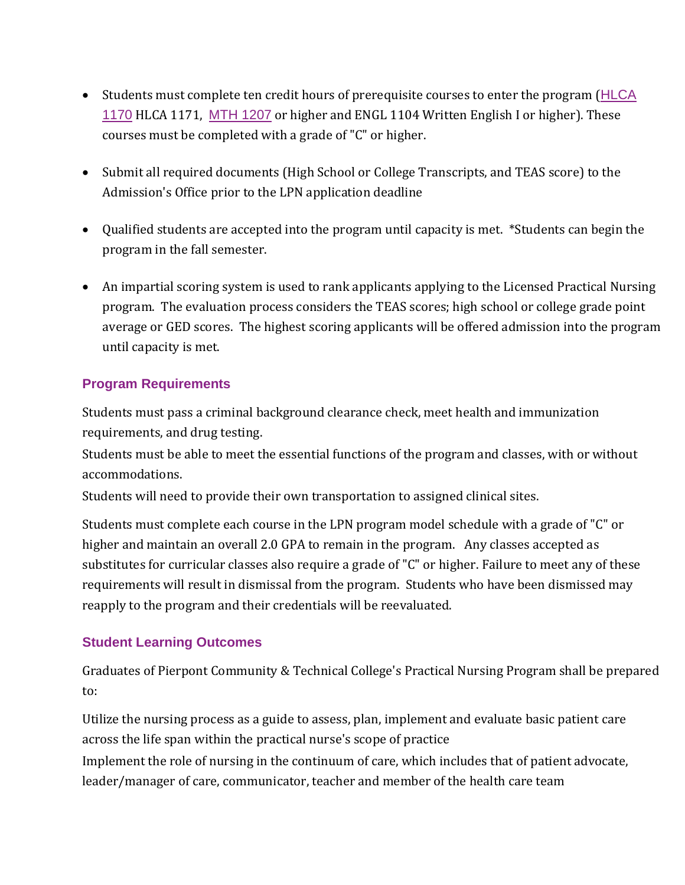- Students must complete ten credit hours of prerequisite courses to enter the program ([HLCA](http://catalog.pierpont.edu/preview_program.php?catoid=4&poid=374&returnto=203#tt1982) [1170](http://catalog.pierpont.edu/preview_program.php?catoid=4&poid=374&returnto=203#tt1982) HLCA 1171, MTH [1207](http://catalog.pierpont.edu/preview_program.php?catoid=4&poid=374&returnto=203#tt7132) or higher and ENGL 1104 Written English I or higher). These courses must be completed with a grade of "C" or higher.
- Submit all required documents (High School or College Transcripts, and TEAS score) to the Admission's Office prior to the LPN application deadline
- Qualified students are accepted into the program until capacity is met. \*Students can begin the program in the fall semester.
- An impartial scoring system is used to rank applicants applying to the Licensed Practical Nursing program. The evaluation process considers the TEAS scores; high school or college grade point average or GED scores. The highest scoring applicants will be offered admission into the program until capacity is met.

# **Program Requirements**

• Students must pass a criminal background clearance check, meet health and immunization requirements, and drug testing.

• Students must be able to meet the essential functions of the program and classes, with or without accommodations.

• Students will need to provide their own transportation to assigned clinical sites.

Students must complete each course in the LPN program model schedule with a grade of "C" or higher and maintain an overall 2.0 GPA to remain in the program. Any classes accepted as substitutes for curricular classes also require a grade of "C" or higher. Failure to meet any of these requirements will result in dismissal from the program. Students who have been dismissed may reapply to the program and their credentials will be reevaluated.

## **Student Learning Outcomes**

Graduates of Pierpont Community & Technical College's Practical Nursing Program shall be prepared to:

Utilize the nursing process as a guide to assess, plan, implement and evaluate basic patient care across the life span within the practical nurse's scope of practice Implement the role of nursing in the continuum of care, which includes that of patient advocate, leader/manager of care, communicator, teacher and member of the health care team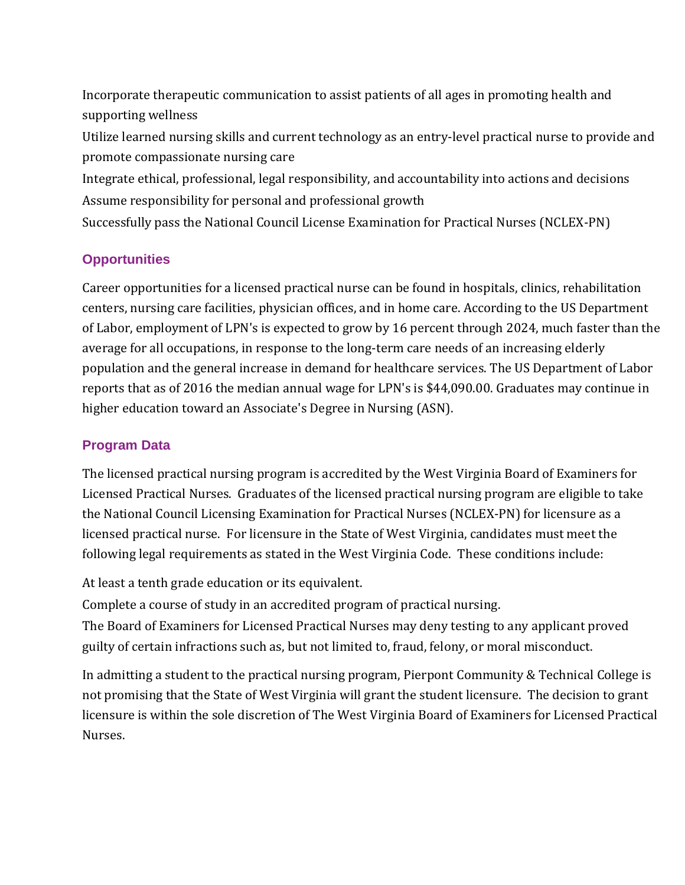• Incorporate therapeutic communication to assist patients of all ages in promoting health and supporting wellness

• Utilize learned nursing skills and current technology as an entry-level practical nurse to provide and promote compassionate nursing care

• Integrate ethical, professional, legal responsibility, and accountability into actions and decisions • Assume responsibility for personal and professional growth

• Successfully pass the National Council License Examination for Practical Nurses (NCLEX-PN)

# **Opportunities**

Career opportunities for a licensed practical nurse can be found in hospitals, clinics, rehabilitation centers, nursing care facilities, physician offices, and in home care. According to the US Department of Labor, employment of LPN's is expected to grow by 16 percent through 2024, much faster than the average for all occupations, in response to the long-term care needs of an increasing elderly population and the general increase in demand for healthcare services. The US Department of Labor reports that as of 2016 the median annual wage for LPN's is \$44,090.00. Graduates may continue in higher education toward an Associate's Degree in Nursing (ASN).

# **Program Data**

The licensed practical nursing program is accredited by the West Virginia Board of Examiners for Licensed Practical Nurses. Graduates of the licensed practical nursing program are eligible to take the National Council Licensing Examination for Practical Nurses (NCLEX-PN) for licensure as a licensed practical nurse. For licensure in the State of West Virginia, candidates must meet the following legal requirements as stated in the West Virginia Code. These conditions include:

At least a tenth grade education or its equivalent.

• Complete a course of study in an accredited program of practical nursing.

• The Board of Examiners for Licensed Practical Nurses may deny testing to any applicant proved guilty of certain infractions such as, but not limited to, fraud, felony, or moral misconduct.

In admitting a student to the practical nursing program, Pierpont Community & Technical College is not promising that the State of West Virginia will grant the student licensure. The decision to grant licensure is within the sole discretion of The West Virginia Board of Examiners for Licensed Practical Nurses.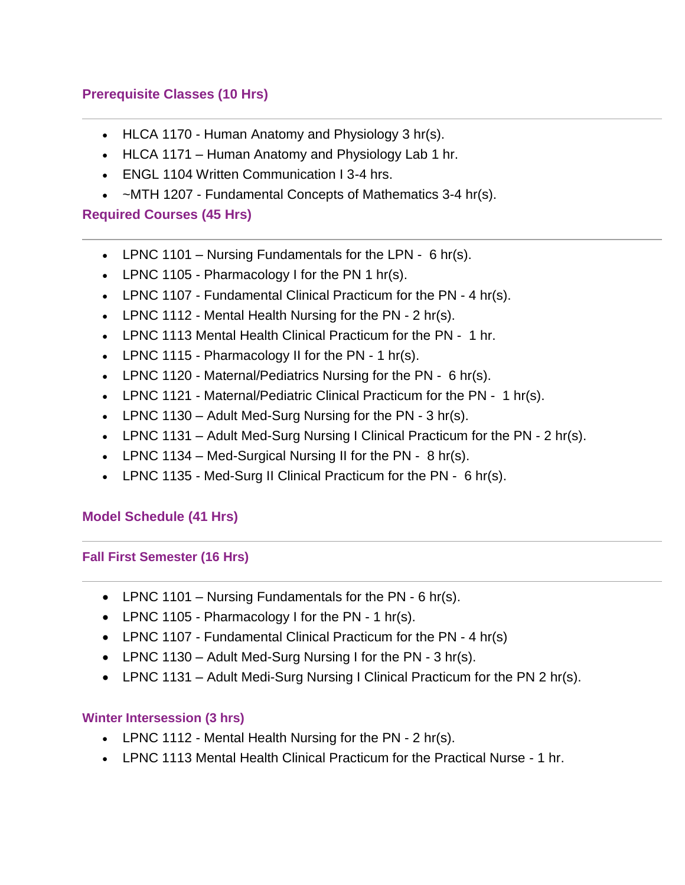# **Prerequisite Classes (10 Hrs)**

- HLCA 1170 Human Anatomy and [Physiology](http://catalog.pierpont.edu/preview_program.php?catoid=4&poid=374&returnto=203) 3 hr(s).
- HLCA 1171 Human Anatomy and Physiology Lab 1 hr.
- ENGL 1104 Written Communication I 3-4 hrs.
- ~MTH 1207 [Fundamental](http://catalog.pierpont.edu/preview_program.php?catoid=4&poid=374&returnto=203) Concepts of Mathematics 3-4 hr(s).

## **Required Courses (45 Hrs)**

- LPNC 1101 Nursing Fundamentals for the LPN  $6$  hr(s).
- LPNC 1105 [Pharmacology](http://catalog.pierpont.edu/preview_program.php?catoid=4&poid=374&returnto=203) I for the PN 1 hr(s).
- LPNC 1107 [Fundamental](http://catalog.pierpont.edu/preview_program.php?catoid=4&poid=374&returnto=203) Clinical Practicum for the PN 4 hr(s).
- LPNC 1112 Mental Health [Nursing](http://catalog.pierpont.edu/preview_program.php?catoid=4&poid=374&returnto=203) for the PN 2 hr(s).
- LPNC 1113 Mental Health Clinical Practicum for the PN 1 hr.
- LPNC 1115 [Pharmacology](http://catalog.pierpont.edu/preview_program.php?catoid=4&poid=374&returnto=203) II for the PN 1 hr(s).
- LPNC 1120 [Maternal/Pediatrics](http://catalog.pierpont.edu/preview_program.php?catoid=4&poid=374&returnto=203) Nursing for the PN 6 hr(s).
- LPNC 1121 [Maternal/Pediatric](http://catalog.pierpont.edu/preview_program.php?catoid=4&poid=374&returnto=203) Clinical Practicum for the PN 1 hr(s).
- LPNC 1130 Adult [Med-Surg](http://catalog.pierpont.edu/preview_program.php?catoid=4&poid=374&returnto=203) Nursing for the PN 3 hr(s).
- [LPNC](http://catalog.pierpont.edu/preview_program.php?catoid=4&poid=374&returnto=203) 1131 Adult Med-Surg Nursing I Clinical Practicum for the PN 2 hr(s).
- LPNC 1134 [Med-Surgical](http://catalog.pierpont.edu/preview_program.php?catoid=4&poid=374&returnto=203) Nursing II for the PN 8 hr(s).
- LPNC 1135 [Med-Surg](http://catalog.pierpont.edu/preview_program.php?catoid=4&poid=374&returnto=203) II Clinical Practicum for the PN 6 hr(s).

## **Model Schedule (41 Hrs)**

#### **Fall First Semester (16 Hrs)**

- LPNC 1101 Nursing [Fundamentals](http://catalog.pierpont.edu/preview_program.php?catoid=4&poid=374&returnto=203) for the PN 6 hr(s).
- LPNC 1105 [Pharmacology](http://catalog.pierpont.edu/preview_program.php?catoid=4&poid=374&returnto=203) I for the PN 1 hr(s).
- LPNC 1107 [Fundamental](http://catalog.pierpont.edu/preview_program.php?catoid=4&poid=374&returnto=203) Clinical Practicum for the PN 4 hr(s)
- LPNC 1130 Adult [Med-Surg](http://catalog.pierpont.edu/preview_program.php?catoid=4&poid=374&returnto=203) Nursing I for the PN 3 hr(s).
- LPNC 1131 Adult [Medi-Surg](http://catalog.pierpont.edu/preview_program.php?catoid=4&poid=374&returnto=203) Nursing I Clinical Practicum for the PN 2 hr(s).

## **Winter Intersession (3 hrs)**

- LPNC 1112 Mental Health [Nursing](http://catalog.pierpont.edu/preview_program.php?catoid=4&poid=374&returnto=203) for the PN 2 hr(s).
- LPNC 1113 Mental Health Clinical Practicum for the Practical Nurse 1 hr.